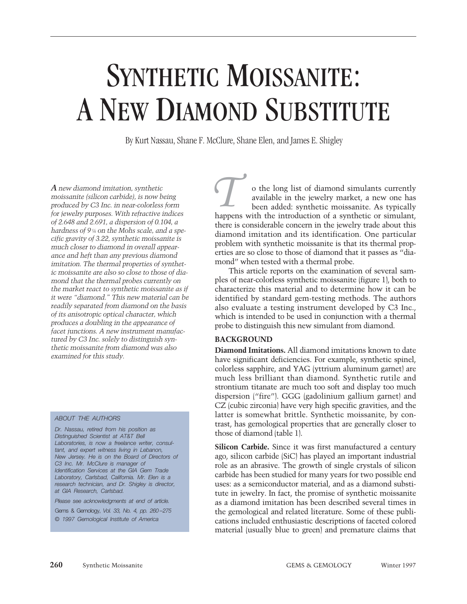# SYNTHETIC MOISSANITE: A NEW DIAMOND SUBSTITUTE

By Kurt Nassau, Shane F. McClure, Shane Elen, and James E. Shigley

*A new diamond imitation, synthetic moissanite (silicon carbide), is now being produced by C3 Inc. in near-colorless form for jewelry purposes. With refractive indices of 2.648 and 2.691, a dispersion of 0.104, a hardness of 9¼ on the Mohs scale, and a specific gravity of 3.22, synthetic moissanite is much closer to diamond in overall appearance and heft than any previous diamond imitation. The thermal properties of synthetic moissanite are also so close to those of diamond that the thermal probes currently on the market react to synthetic moissanite as if it were "diamond." This new material can be readily separated from diamond on the basis of its anisotropic optical character, which produces a doubling in the appearance of facet junctions. A new instrument manufactured by C3 Inc. solely to distinguish synthetic moissanite from diamond was also examined for this study.*

#### *ABOUT THE AUTHORS*

*Dr. Nassau, retired from his position as Distinguished Scientist at AT&T Bell Laboratories, is now a freelance writer, consultant, and expert witness living in Lebanon, New Jersey. He is on the Board of Directors of C3 Inc. Mr. McClure is manager of Identification Services at the GIA Gem Trade Laboratory, Carlsbad, California. Mr. Elen is a research technician, and Dr. Shigley is director, at GIA Research, Carlsbad.*

*Please see acknowledgments at end of article.*

Gems & Gemology, *Vol. 33, No. 4, pp. 260 –275 © 1997 Gemological Institute of America*

o the long list of diamond simulants currently available in the jewelry market, a new one has been added: synthetic moissanite. As typically o the long list of diamond simulants currently available in the jewelry market, a new one has been added: synthetic moissanite. As typically happens with the introduction of a synthetic or simulant, there is considerable concern in the jewelry trade about this diamond imitation and its identification. One particular problem with synthetic moissanite is that its thermal properties are so close to those of diamond that it passes as "diamond" when tested with a thermal probe.

This article reports on the examination of several samples of near-colorless synthetic moissanite (figure 1), both to characterize this material and to determine how it can be identified by standard gem-testing methods. The authors also evaluate a testing instrument developed by C3 Inc., which is intended to be used in conjunction with a thermal probe to distinguish this new simulant from diamond.

## **BACKGROUND**

**Diamond Imitations.** All diamond imitations known to date have significant deficiencies. For example, synthetic spinel, colorless sapphire, and YAG (yttrium aluminum garnet) are much less brilliant than diamond. Synthetic rutile and strontium titanate are much too soft and display too much dispersion ("fire"). GGG (gadolinium gallium garnet) and CZ (cubic zirconia) have very high specific gravities, and the latter is somewhat brittle. Synthetic moissanite, by contrast, has gemological properties that are generally closer to those of diamond (table 1).

**Silicon Carbide.** Since it was first manufactured a century ago, silicon carbide (SiC) has played an important industrial role as an abrasive. The growth of single crystals of silicon carbide has been studied for many years for two possible end uses: as a semiconductor material, and as a diamond substitute in jewelry. In fact, the promise of synthetic moissanite as a diamond imitation has been described several times in the gemological and related literature. Some of these publications included enthusiastic descriptions of faceted colored material (usually blue to green) and premature claims that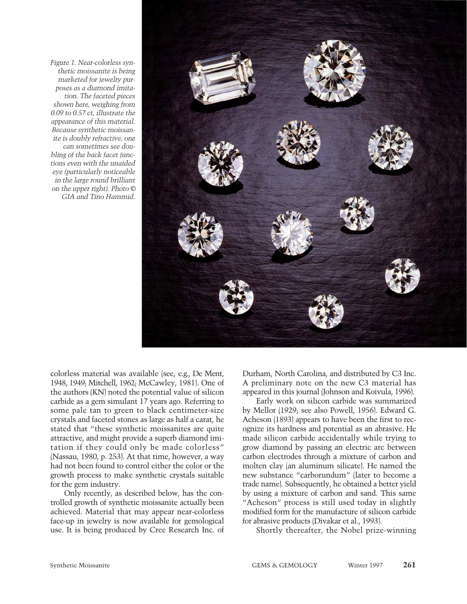*Figure 1. Near-colorless synthetic moissanite is being marketed for jewelry purposes as a diamond imitation. The faceted pieces shown here, weighing from 0.09 to 0.57 ct, illustrate the appearance of this material. Because synthetic moissanite is doubly refractive, one can sometimes see doubling of the back facet junctions even with the unaided eye (particularly noticeable in the large round brilliant on the upper right). Photo © GIA and Tino Hammid.*



colorless material was available (see, e.g., De Ment, 1948, 1949; Mitchell, 1962; McCawley, 1981). One of the authors (KN) noted the potential value of silicon carbide as a gem simulant 17 years ago. Referring to some pale tan to green to black centimeter-size crystals and faceted stones as large as half a carat, he stated that "these synthetic moissanites are quite attractive, and might provide a superb diamond imitation if they could only be made colorless" (Nassau, 1980, p. 253). At that time, however, a way had not been found to control either the color or the growth process to make synthetic crystals suitable for the gem industry.

Only recently, as described below, has the controlled growth of synthetic moissanite actually been achieved. Material that may appear near-colorless face-up in jewelry is now available for gemological use. It is being produced by Cree Research Inc. of Durham, North Carolina, and distributed by C3 Inc. A preliminary note on the new C3 material has appeared in this journal (Johnson and Koivula, 1996).

Early work on silicon carbide was summarized by Mellor (1929; see also Powell, 1956). Edward G. Acheson (1893) appears to have been the first to recognize its hardness and potential as an abrasive. He made silicon carbide accidentally while trying to grow diamond by passing an electric arc between carbon electrodes through a mixture of carbon and molten clay (an aluminum silicate). He named the new substance "carborundum" (later to become a trade name). Subsequently, he obtained a better yield by using a mixture of carbon and sand. This same "Acheson" process is still used today in slightly modified form for the manufacture of silicon carbide for abrasive products (Divakar et al., 1993).

Shortly thereafter, the Nobel prize-winning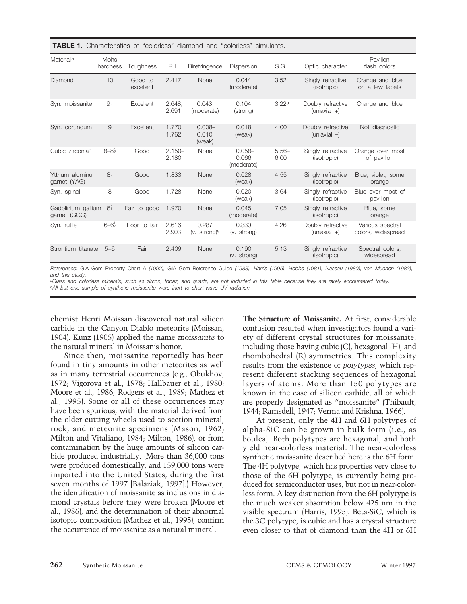|  | <b>TABLE 1.</b> Characteristics of "colorless" diamond and "colorless" simulants. |  |  |  |  |  |  |
|--|-----------------------------------------------------------------------------------|--|--|--|--|--|--|
|--|-----------------------------------------------------------------------------------|--|--|--|--|--|--|

| Material <sup>a</sup>              | <b>Mohs</b><br>hardness | Toughness            | R.I.               | Birefringence                       | Dispersion                       | S.G.              | Optic character                     | Pavilion<br>flash colors               |
|------------------------------------|-------------------------|----------------------|--------------------|-------------------------------------|----------------------------------|-------------------|-------------------------------------|----------------------------------------|
| Diamond                            | 10                      | Good to<br>excellent | 2.417              | <b>None</b>                         | 0.044<br>(moderate)              | 3.52              | Singly refractive<br>(isotropic)    | Orange and blue<br>on a few facets     |
| Syn. moissanite                    | $9\frac{1}{4}$          | Excellent            | 2.648,<br>2.691    | 0.043<br>(moderate)                 | 0.104<br>(strong)                | 3.22 <sup>c</sup> | Doubly refractive<br>$(uniaxial +)$ | Orange and blue                        |
| Syn. corundum                      | 9                       | Excellent            | 1.770.<br>1.762    | $0.008 -$<br>0.010<br>(weak)        | 0.018<br>(weak)                  | 4.00              | Doubly refractive<br>$(uniaxial -)$ | Not diagnostic                         |
| Cubic zirconia <sup>d</sup>        | $8 - 8\frac{1}{2}$      | Good                 | $2.150 -$<br>2.180 | None                                | $0.058 -$<br>0.066<br>(moderate) | $5.56-$<br>6.00   | Singly refractive<br>(isotropic)    | Orange over most<br>of pavilion        |
| Yttrium aluminum<br>garnet (YAG)   | $8\frac{1}{4}$          | Good                 | 1.833              | None                                | 0.028<br>(weak)                  | 4.55              | Singly refractive<br>(isotropic)    | Blue, violet, some<br>orange           |
| Syn. spinel                        | 8                       | Good                 | 1.728              | None                                | 0.020<br>(weak)                  | 3.64              | Singly refractive<br>(isotropic)    | Blue over most of<br>pavilion          |
| Gadolinium gallium<br>garnet (GGG) | $6\frac{1}{2}$          | Fair to good         | 1.970              | None                                | 0.045<br>(moderate)              | 7.05              | Singly refractive<br>(isotropic)    | Blue, some<br>orange                   |
| Syn. rutile                        | $6 - 6\frac{1}{2}$      | Poor to fair         | 2.616,<br>2.903    | 0.287<br>$(v.$ strong) <sup>e</sup> | 0.330<br>(v. strong)             | 4.26              | Doubly refractive<br>$(uniaxial +)$ | Various spectral<br>colors, widespread |
| Strontium titanate                 | $5 - 6$                 | Fair                 | 2.409              | None                                | 0.190<br>$(v.$ strong)           | 5.13              | Singly refractive<br>(isotropic)    | Spectral colors,<br>widespread         |

*References:* GIA Gem Property Chart A *(1992),* GIA Gem Reference Guide *(1988), Harris (1995), Hobbs (1981), Nassau (1980), von Muench (1982), and this study.*

*aGlass and colorless minerals, such as zircon, topaz, and quartz, are not included in this table because they are rarely encountered today. bAll but one sample of synthetic moissanite were inert to short-wave UV radiation.*

chemist Henri Moissan discovered natural silicon carbide in the Canyon Diablo meteorite (Moissan, 1904). Kunz (1905) applied the name *moissanite* to the natural mineral in Moissan's honor.

Since then, moissanite reportedly has been found in tiny amounts in other meteorites as well as in many terrestrial occurrences (e.g., Obukhov, 1972; Vigorova et al., 1978; Hallbauer et al., 1980; Moore et al., 1986; Rodgers et al., 1989; Mathez et al., 1995). Some or all of these occurrences may have been spurious, with the material derived from the older cutting wheels used to section mineral, rock, and meteorite specimens (Mason, 1962; Milton and Vitaliano, 1984; Milton, 1986), or from contamination by the huge amounts of silicon carbide produced industrially. (More than 36,000 tons were produced domestically, and 159,000 tons were imported into the United States, during the first seven months of 1997 [Balaziak, 1997].) However, the identification of moissanite as inclusions in diamond crystals before they were broken (Moore et al., 1986), and the determination of their abnormal isotopic composition (Mathez et al., 1995), confirm the occurrence of moissanite as a natural mineral.

**The Structure of Moissanite.** At first, considerable confusion resulted when investigators found a variety of different crystal structures for moissanite, including those having cubic (C), hexagonal (H), and rhombohedral (R) symmetries. This complexity results from the existence of *polytypes*, which represent different stacking sequences of hexagonal layers of atoms. More than 150 polytypes are known in the case of silicon carbide, all of which are properly designated as "moissanite" (Thibault, 1944; Ramsdell, 1947; Verma and Krishna, 1966).

At present, only the 4H and 6H polytypes of alpha-SiC can be grown in bulk form (i.e., as boules). Both polytypes are hexagonal, and both yield near-colorless material. The near-colorless synthetic moissanite described here is the 6H form. The 4H polytype, which has properties very close to those of the 6H polytype, is currently being produced for semiconductor uses, but not in near-colorless form. A key distinction from the 6H polytype is the much weaker absorption below 425 nm in the visible spectrum (Harris, 1995). Beta-SiC, which is the 3C polytype, is cubic and has a crystal structure even closer to that of diamond than the 4H or 6H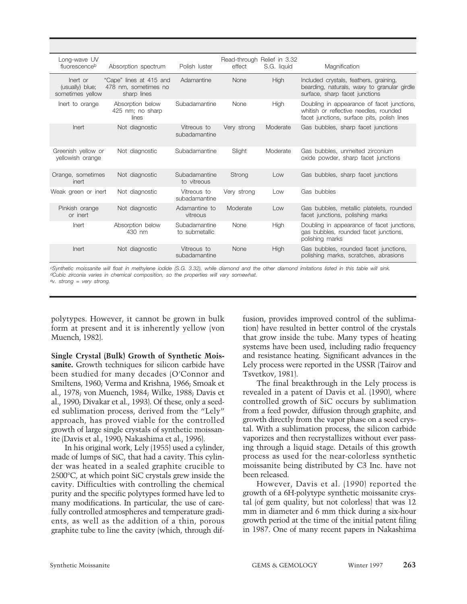| Long-wave UV<br>fluorescenceb                   | Absorption spectrum                                            | Polish luster                   | effect      | Read-through Relief in 3.32<br>S.G. liquid | Magnification                                                                                                                       |
|-------------------------------------------------|----------------------------------------------------------------|---------------------------------|-------------|--------------------------------------------|-------------------------------------------------------------------------------------------------------------------------------------|
| lnert or<br>(usually) blue;<br>sometimes yellow | "Cape" lines at 415 and<br>478 nm, sometimes no<br>sharp lines | Adamantine                      | None        | <b>High</b>                                | Included crystals, feathers, graining,<br>bearding, naturals, waxy to granular girdle<br>surface, sharp facet junctions             |
| Inert to orange                                 | Absorption below<br>425 nm; no sharp<br>lines                  | Subadamantine                   | None        | High                                       | Doubling in appearance of facet junctions,<br>whitish or reflective needles, rounded<br>facet junctions, surface pits, polish lines |
| Inert                                           | Not diagnostic                                                 | Vitreous to<br>subadamantine    | Very strong | Moderate                                   | Gas bubbles, sharp facet junctions                                                                                                  |
| Greenish yellow or<br>vellowish orange          | Not diagnostic                                                 | Subadamantine                   | Slight      | Moderate                                   | Gas bubbles, unmelted zirconium<br>oxide powder, sharp facet junctions                                                              |
| Orange, sometimes<br>inert                      | Not diagnostic                                                 | Subadamantine<br>to vitreous    | Strong      | Low                                        | Gas bubbles, sharp facet junctions                                                                                                  |
| Weak green or inert                             | Not diagnostic                                                 | Vitreous to<br>subadamantine    | Very strong | Low                                        | Gas bubbles                                                                                                                         |
| Pinkish orange<br>or inert                      | Not diagnostic                                                 | Adamantine to<br>vitreous       | Moderate    | Low                                        | Gas bubbles, metallic platelets, rounded<br>facet junctions, polishing marks                                                        |
| Inert                                           | Absorption below<br>430 nm                                     | Subadamantine<br>to submetallic | None        | High                                       | Doubling in appearance of facet junctions,<br>gas bubbles, rounded facet junctions,<br>polishing marks                              |
| Inert                                           | Not diagnostic                                                 | Vitreous to<br>subadamantine    | None        | <b>High</b>                                | Gas bubbles, rounded facet junctions,<br>polishing marks, scratches, abrasions                                                      |

*cSynthetic moissanite will float in methylene iodide (S.G. 3.32), while diamond and the other diamond imitations listed in this table will sink. dCubic zirconia varies in chemical composition, so the properties will vary somewhat. ev. strong = very strong.*

polytypes. However, it cannot be grown in bulk form at present and it is inherently yellow (von Muench, 1982).

**Single Crystal (Bulk) Growth of Synthetic Moissanite.** Growth techniques for silicon carbide have been studied for many decades (O'Connor and Smiltens, 1960; Verma and Krishna, 1966; Smoak et al., 1978; von Muench, 1984; Wilke, 1988; Davis et al., 1990; Divakar et al., 1993). Of these, only a seeded sublimation process, derived from the "Lely" approach, has proved viable for the controlled growth of large single crystals of synthetic moissanite (Davis et al., 1990; Nakashima et al., 1996).

In his original work, Lely (1955) used a cylinder, made of lumps of SiC, that had a cavity. This cylinder was heated in a sealed graphite crucible to 2500°C, at which point SiC crystals grew inside the cavity. Difficulties with controlling the chemical purity and the specific polytypes formed have led to many modifications. In particular, the use of carefully controlled atmospheres and temperature gradients, as well as the addition of a thin, porous graphite tube to line the cavity (which, through diffusion, provides improved control of the sublimation) have resulted in better control of the crystals that grow inside the tube. Many types of heating systems have been used, including radio frequency and resistance heating. Significant advances in the Lely process were reported in the USSR (Tairov and Tsvetkov, 1981).

The final breakthrough in the Lely process is revealed in a patent of Davis et al. (1990), where controlled growth of SiC occurs by sublimation from a feed powder, diffusion through graphite, and growth directly from the vapor phase on a seed crystal. With a sublimation process, the silicon carbide vaporizes and then recrystallizes without ever passing through a liquid stage. Details of this growth process as used for the near-colorless synthetic moissanite being distributed by C3 Inc. have not been released.

However, Davis et al. (1990) reported the growth of a 6H-polytype synthetic moissanite crystal (of gem quality, but not colorless) that was 12 mm in diameter and 6 mm thick during a six-hour growth period at the time of the initial patent filing in 1987. One of many recent papers in Nakashima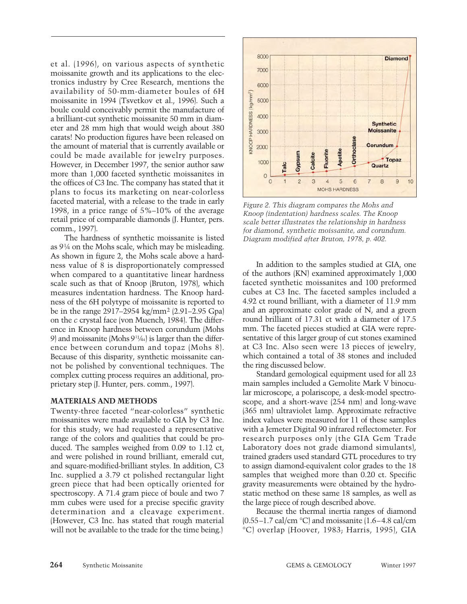et al. (1996), on various aspects of synthetic moissanite growth and its applications to the electronics industry by Cree Research, mentions the availability of 50-mm-diameter boules of 6H moissanite in 1994 (Tsvetkov et al., 1996). Such a boule could conceivably permit the manufacture of a brilliant-cut synthetic moissanite 50 mm in diameter and 28 mm high that would weigh about 380 carats! No production figures have been released on the amount of material that is currently available or could be made available for jewelry purposes. However, in December 1997, the senior author saw more than 1,000 faceted synthetic moissanites in the offices of C3 Inc. The company has stated that it plans to focus its marketing on near-colorless faceted material, with a release to the trade in early 1998, in a price range of 5%–10% of the average retail price of comparable diamonds (J. Hunter, pers. comm., 1997).

The hardness of synthetic moissanite is listed as 9¼ on the Mohs scale, which may be misleading. As shown in figure 2, the Mohs scale above a hardness value of 8 is disproportionately compressed when compared to a quantitative linear hardness scale such as that of Knoop (Bruton, 1978), which measures indentation hardness. The Knoop hardness of the 6H polytype of moissanite is reported to be in the range 2917–2954 kg/mm2 (2.91–2.95 Gpa) on the *c* crystal face (von Muench, 1984). The difference in Knoop hardness between corundum (Mohs 9) and moissanite (Mohs 91 ¼4) is larger than the difference between corundum and topaz (Mohs 8). Because of this disparity, synthetic moissanite cannot be polished by conventional techniques. The complex cutting process requires an additional, proprietary step (J. Hunter, pers. comm., 1997).

#### **MATERIALS AND METHODS**

Twenty-three faceted "near-colorless" synthetic moissanites were made available to GIA by C3 Inc. for this study; we had requested a representative range of the colors and qualities that could be produced. The samples weighed from 0.09 to 1.12 ct, and were polished in round brilliant, emerald cut, and square-modified-brilliant styles. In addition, C3 Inc. supplied a 3.79 ct polished rectangular light green piece that had been optically oriented for spectroscopy. A 71.4 gram piece of boule and two 7 mm cubes were used for a precise specific gravity determination and a cleavage experiment. (However, C3 Inc. has stated that rough material will not be available to the trade for the time being.)



*Figure 2. This diagram compares the Mohs and Knoop (indentation) hardness scales. The Knoop scale better illustrates the relationship in hardness for diamond, synthetic moissanite, and corundum. Diagram modified after Bruton, 1978, p. 402.*

In addition to the samples studied at GIA, one of the authors (KN) examined approximately 1,000 faceted synthetic moissanites and 100 preformed cubes at C3 Inc. The faceted samples included a 4.92 ct round brilliant, with a diameter of 11.9 mm and an approximate color grade of N, and a green round brilliant of 17.31 ct with a diameter of 17.5 mm. The faceted pieces studied at GIA were representative of this larger group of cut stones examined at C3 Inc. Also seen were 13 pieces of jewelry, which contained a total of 38 stones and included the ring discussed below.

Standard gemological equipment used for all 23 main samples included a Gemolite Mark V binocular microscope, a polariscope, a desk-model spectroscope, and a short-wave (254 nm) and long-wave (365 nm) ultraviolet lamp. Approximate refractive index values were measured for 11 of these samples with a Jemeter Digital 90 infrared reflectometer. For research purposes only (the GIA Gem Trade Laboratory does not grade diamond simulants), trained graders used standard GTL procedures to try to assign diamond-equivalent color grades to the 18 samples that weighed more than 0.20 ct. Specific gravity measurements were obtained by the hydrostatic method on these same 18 samples, as well as the large piece of rough described above.

Because the thermal inertia ranges of diamond  $(0.55-1.7 \text{ cal/cm} \text{ °C})$  and moissanite  $(1.6-4.8 \text{ cal/cm})$ °C) overlap (Hoover, 1983; Harris, 1995), GIA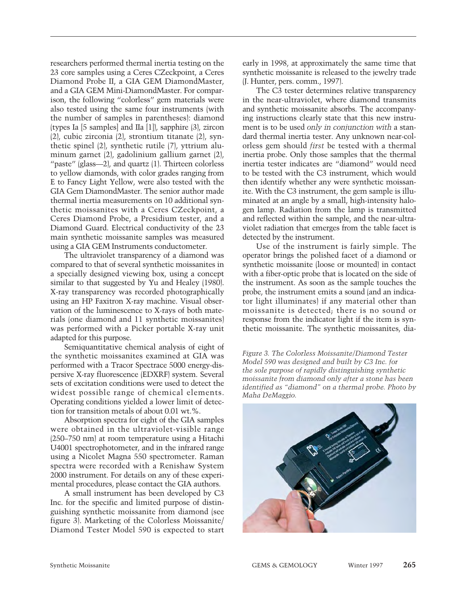researchers performed thermal inertia testing on the 23 core samples using a Ceres CZeckpoint, a Ceres Diamond Probe II, a GIA GEM DiamondMaster, and a GIA GEM Mini-DiamondMaster. For comparison, the following "colorless" gem materials were also tested using the same four instruments (with the number of samples in parentheses): diamond (types Ia [5 samples] and IIa [1]), sapphire (3), zircon (2), cubic zirconia (2), strontium titanate (2), synthetic spinel (2), synthetic rutile (7), yttrium aluminum garnet (2), gadolinium gallium garnet (2), "paste" (glass—2), and quartz (1). Thirteen colorless to yellow diamonds, with color grades ranging from E to Fancy Light Yellow, were also tested with the GIA Gem DiamondMaster. The senior author made thermal inertia measurements on 10 additional synthetic moissanites with a Ceres CZeckpoint, a Ceres Diamond Probe, a Presidium tester, and a Diamond Guard. Electrical conductivity of the 23 main synthetic moissanite samples was measured using a GIA GEM Instruments conductometer.

The ultraviolet transparency of a diamond was compared to that of several synthetic moissanites in a specially designed viewing box, using a concept similar to that suggested by Yu and Healey (1980). X-ray transparency was recorded photographically using an HP Faxitron X-ray machine. Visual observation of the luminescence to X-rays of both materials (one diamond and 11 synthetic moissanites) was performed with a Picker portable X-ray unit adapted for this purpose.

Semiquantitative chemical analysis of eight of the synthetic moissanites examined at GIA was performed with a Tracor Spectrace 5000 energy-dispersive X-ray fluorescence (EDXRF) system. Several sets of excitation conditions were used to detect the widest possible range of chemical elements. Operating conditions yielded a lower limit of detection for transition metals of about 0.01 wt.%.

Absorption spectra for eight of the GIA samples were obtained in the ultraviolet-visible range (250–750 nm) at room temperature using a Hitachi U4001 spectrophotometer, and in the infrared range using a Nicolet Magna 550 spectrometer. Raman spectra were recorded with a Renishaw System 2000 instrument. For details on any of these experimental procedures, please contact the GIA authors.

A small instrument has been developed by C3 Inc. for the specific and limited purpose of distinguishing synthetic moissanite from diamond (see figure 3). Marketing of the Colorless Moissanite/ Diamond Tester Model 590 is expected to start early in 1998, at approximately the same time that synthetic moissanite is released to the jewelry trade (J. Hunter, pers. comm., 1997).

The C3 tester determines relative transparency in the near-ultraviolet, where diamond transmits and synthetic moissanite absorbs. The accompanying instructions clearly state that this new instrument is to be used *only in conjunction with* a standard thermal inertia tester. Any unknown near-colorless gem should *first* be tested with a thermal inertia probe. Only those samples that the thermal inertia tester indicates are "diamond" would need to be tested with the C3 instrument, which would then identify whether any were synthetic moissanite. With the C3 instrument, the gem sample is illuminated at an angle by a small, high-intensity halogen lamp. Radiation from the lamp is transmitted and reflected within the sample, and the near-ultraviolet radiation that emerges from the table facet is detected by the instrument.

Use of the instrument is fairly simple. The operator brings the polished facet of a diamond or synthetic moissanite (loose or mounted) in contact with a fiber-optic probe that is located on the side of the instrument. As soon as the sample touches the probe, the instrument emits a sound (and an indicator light illuminates) if any material other than moissanite is detected; there is no sound or response from the indicator light if the item is synthetic moissanite. The synthetic moissanites, dia-

*Figure 3. The Colorless Moissanite/Diamond Tester Model 590 was designed and built by C3 Inc. for the sole purpose of rapidly distinguishing synthetic moissanite from diamond only after a stone has been identified as "diamond" on a thermal probe. Photo by Maha DeMaggio.*

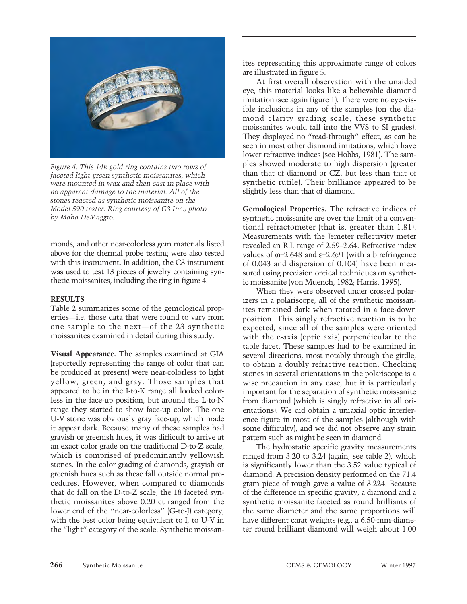

*Figure 4. This 14k gold ring contains two rows of faceted light-green synthetic moissanites, which were mounted in wax and then cast in place with no apparent damage to the material. All of the stones reacted as synthetic moissanite on the Model 590 tester. Ring courtesy of C3 Inc.; photo by Maha DeMaggio.*

monds, and other near-colorless gem materials listed above for the thermal probe testing were also tested with this instrument. In addition, the C3 instrument was used to test 13 pieces of jewelry containing synthetic moissanites, including the ring in figure 4.

#### **RESULTS**

Table 2 summarizes some of the gemological properties––i.e. those data that were found to vary from one sample to the next––of the 23 synthetic moissanites examined in detail during this study.

**Visual Appearance.** The samples examined at GIA (reportedly representing the range of color that can be produced at present) were near-colorless to light yellow, green, and gray. Those samples that appeared to be in the I-to-K range all looked colorless in the face-up position, but around the L-to-N range they started to show face-up color. The one U-V stone was obviously gray face-up, which made it appear dark. Because many of these samples had grayish or greenish hues, it was difficult to arrive at an exact color grade on the traditional D-to-Z scale, which is comprised of predominantly yellowish stones. In the color grading of diamonds, grayish or greenish hues such as these fall outside normal procedures. However, when compared to diamonds that do fall on the D-to-Z scale, the 18 faceted synthetic moissanites above 0.20 ct ranged from the lower end of the "near-colorless" (G-to-J) category, with the best color being equivalent to I, to U-V in the "light" category of the scale. Synthetic moissanites representing this approximate range of colors are illustrated in figure 5.

At first overall observation with the unaided eye, this material looks like a believable diamond imitation (see again figure 1). There were no eye-visible inclusions in any of the samples (on the diamond clarity grading scale, these synthetic moissanites would fall into the VVS to SI grades). They displayed no "read-through" effect, as can be seen in most other diamond imitations, which have lower refractive indices (see Hobbs, 1981). The samples showed moderate to high dispersion (greater than that of diamond or CZ, but less than that of synthetic rutile). Their brilliance appeared to be slightly less than that of diamond.

**Gemological Properties.** The refractive indices of synthetic moissanite are over the limit of a conventional refractometer (that is, greater than 1.81). Measurements with the Jemeter reflectivity meter revealed an R.I. range of 2.59–2.64. Refractive index values of  $\omega$ =2.648 and  $\varepsilon$ =2.691 (with a birefringence of 0.043 and dispersion of 0.104) have been measured using precision optical techniques on synthetic moissanite (von Muench, 1982; Harris, 1995).

When they were observed under crossed polarizers in a polariscope, all of the synthetic moissanites remained dark when rotated in a face-down position. This singly refractive reaction is to be expected, since all of the samples were oriented with the c-axis (optic axis) perpendicular to the table facet. These samples had to be examined in several directions, most notably through the girdle, to obtain a doubly refractive reaction. Checking stones in several orientations in the polariscope is a wise precaution in any case, but it is particularly important for the separation of synthetic moissanite from diamond (which is singly refractive in all orientations). We did obtain a uniaxial optic interference figure in most of the samples (although with some difficulty), and we did not observe any strain pattern such as might be seen in diamond.

The hydrostatic specific gravity measurements ranged from 3.20 to 3.24 (again, see table 2), which is significantly lower than the 3.52 value typical of diamond. A precision density performed on the 71.4 gram piece of rough gave a value of 3.224. Because of the difference in specific gravity, a diamond and a synthetic moissanite faceted as round brilliants of the same diameter and the same proportions will have different carat weights (e.g., a 6.50-mm-diameter round brilliant diamond will weigh about 1.00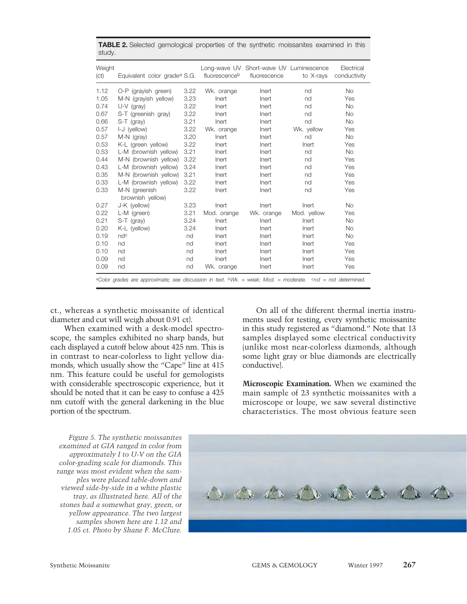| Weight<br>(ct) | Equivalent color grade <sup>a</sup> S.G. |      | fluorescenceb | Long-wave UV Short-wave UV Luminescence<br>fluorescence | to X-rays   | Electrical<br>conductivity |
|----------------|------------------------------------------|------|---------------|---------------------------------------------------------|-------------|----------------------------|
| 1.12           | O-P (grayish green)                      | 3.22 | Wk. orange    | Inert                                                   | nd          | <b>No</b>                  |
| 1.05           | M-N (grayish yellow)                     | 3.23 | Inert         | Inert                                                   | nd          | Yes                        |
| 0.74           | $U-V$ (gray)                             | 3.22 | Inert         | Inert                                                   | nd          | <b>No</b>                  |
| 0.67           | S-T (greenish gray)                      | 3.22 | Inert         | Inert                                                   | nd          | <b>No</b>                  |
| 0.66           | S-T (gray)                               | 3.21 | Inert         | Inert                                                   | nd          | <b>No</b>                  |
| 0.57           | I-J (yellow)                             | 3.22 | Wk. orange    | Inert                                                   | Wk. yellow  | Yes                        |
| 0.57           | M-N (gray)                               | 3.20 | Inert         | Inert                                                   | nd          | <b>No</b>                  |
| 0.53           | K-L (green yellow)                       | 3.22 | Inert         | Inert                                                   | Inert       | Yes                        |
| 0.53           | L-M (brownish yellow)                    | 3.21 | Inert         | Inert                                                   | nd          | <b>No</b>                  |
| 0.44           | M-N (brownish yellow)                    | 3.22 | Inert         | Inert                                                   | nd          | Yes                        |
| 0.43           | L-M (brownish yellow)                    | 3.24 | Inert         | Inert                                                   | nd          | Yes                        |
| 0.35           | M-N (brownish yellow)                    | 3.21 | Inert         | Inert                                                   | nd          | Yes                        |
| 0.33           | L-M (brownish yellow)                    | 3.22 | Inert         | Inert                                                   | nd          | Yes                        |
| 0.33           | M-N (greenish<br>brownish yellow)        | 3.22 | Inert         | Inert                                                   | nd          | Yes                        |
| 0.27           | J-K (yellow)                             | 3.23 | Inert         | Inert                                                   | Inert       | <b>No</b>                  |
| 0.22           | L-M (green)                              | 3.21 | Mod. orange   | Wk. orange                                              | Mod. yellow | Yes                        |
| 0.21           | S-T (gray)                               | 3.24 | Inert         | Inert                                                   | Inert       | <b>No</b>                  |
| 0.20           | K-L (yellow)                             | 3.24 | Inert         | Inert                                                   | Inert       | <b>No</b>                  |
| 0.19           | ndc                                      | nd   | Inert         | Inert                                                   | Inert       | <b>No</b>                  |
| 0.10           | nd                                       | nd   | Inert         | Inert                                                   | Inert       | Yes                        |
| 0.10           | nd                                       | nd   | Inert         | Inert                                                   | Inert       | Yes                        |
| 0.09           | nd                                       | nd   | Inert         | Inert                                                   | Inert       | Yes                        |
| 0.09           | nd                                       | nd   | Wk. orange    | Inert                                                   | Inert       | Yes                        |

**TABLE 2.** Selected gemological properties of the synthetic moissanites examined in this study.

ct., whereas a synthetic moissanite of identical diameter and cut will weigh about 0.91 ct).

When examined with a desk-model spectroscope, the samples exhibited no sharp bands, but each displayed a cutoff below about 425 nm. This is in contrast to near-colorless to light yellow diamonds, which usually show the "Cape" line at 415 nm. This feature could be useful for gemologists with considerable spectroscopic experience, but it should be noted that it can be easy to confuse a 425 nm cutoff with the general darkening in the blue portion of the spectrum.

On all of the different thermal inertia instruments used for testing, every synthetic moissanite in this study registered as "diamond." Note that 13 samples displayed some electrical conductivity (unlike most near-colorless diamonds, although some light gray or blue diamonds are electrically conductive).

**Microscopic Examination.** When we examined the main sample of 23 synthetic moissanites with a microscope or loupe, we saw several distinctive characteristics. The most obvious feature seen

*Figure 5. The synthetic moissanites examined at GIA ranged in color from approximately I to U-V on the GIA color-grading scale for diamonds. This range was most evident when the samples were placed table-down and viewed side-by-side in a white plastic tray, as illustrated here. All of the stones had a somewhat gray, green, or yellow appearance. The two largest samples shown here are 1.12 and 1.05 ct. Photo by Shane F. McClure.*

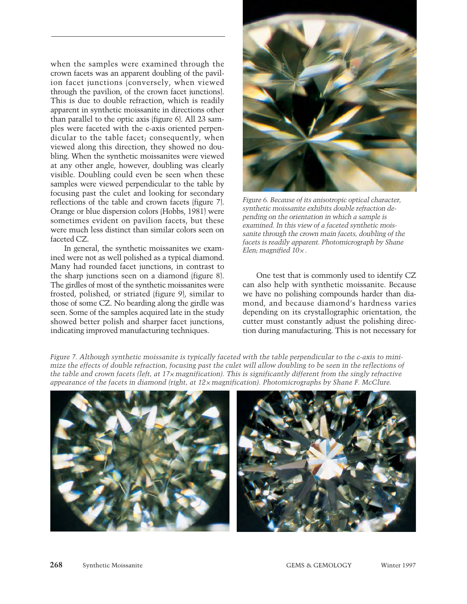when the samples were examined through the crown facets was an apparent doubling of the pavilion facet junctions (conversely, when viewed through the pavilion, of the crown facet junctions). This is due to double refraction, which is readily apparent in synthetic moissanite in directions other than parallel to the optic axis (figure 6). All 23 samples were faceted with the c-axis oriented perpendicular to the table facet; consequently, when viewed along this direction, they showed no doubling. When the synthetic moissanites were viewed at any other angle, however, doubling was clearly visible. Doubling could even be seen when these samples were viewed perpendicular to the table by focusing past the culet and looking for secondary reflections of the table and crown facets (figure 7). Orange or blue dispersion colors (Hobbs, 1981) were sometimes evident on pavilion facets, but these were much less distinct than similar colors seen on faceted CZ.

In general, the synthetic moissanites we examined were not as well polished as a typical diamond. Many had rounded facet junctions, in contrast to the sharp junctions seen on a diamond (figure 8). The girdles of most of the synthetic moissanites were frosted, polished, or striated (figure 9), similar to those of some CZ. No bearding along the girdle was seen. Some of the samples acquired late in the study showed better polish and sharper facet junctions, indicating improved manufacturing techniques.



*Figure 6. Because of its anisotropic optical character, synthetic moissanite exhibits double refraction depending on the orientation in which a sample is examined. In this view of a faceted synthetic moissanite through the crown main facets, doubling of the facets is readily apparent. Photomicrograph by Shane Elen; magnified 10*¥ *.*

One test that is commonly used to identify CZ can also help with synthetic moissanite. Because we have no polishing compounds harder than diamond, and because diamond's hardness varies depending on its crystallographic orientation, the cutter must constantly adjust the polishing direction during manufacturing. This is not necessary for

*Figure 7. Although synthetic moissanite is typically faceted with the table perpendicular to the c-axis to minimize the effects of double refraction, focusing past the culet will allow doubling to be seen in the reflections of the table and crown facets (left, at 17*¥ *magnification). This is significantly different from the singly refractive appearance of the facets in diamond (right, at 12*¥ *magnification). Photomicrographs by Shane F. McClure.*

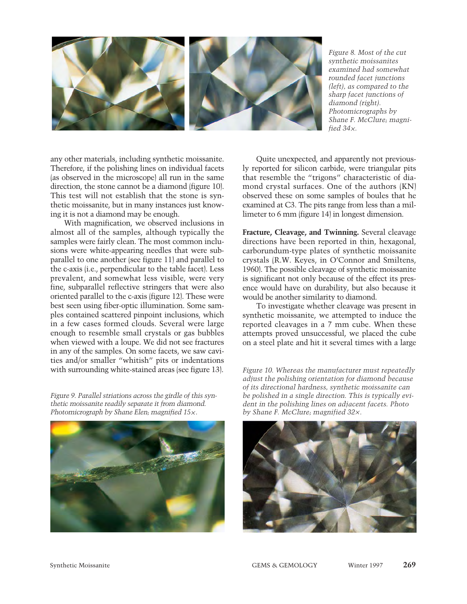

*Figure 8. Most of the cut synthetic moissanites examined had somewhat rounded facet junctions (left), as compared to the sharp facet junctions of diamond (right). Photomicrographs by Shane F. McClure; magnified*  $34x$ *.* 

any other materials, including synthetic moissanite. Therefore, if the polishing lines on individual facets (as observed in the microscope) all run in the same direction, the stone cannot be a diamond (figure 10). This test will not establish that the stone is synthetic moissanite, but in many instances just knowing it is not a diamond may be enough.

With magnification, we observed inclusions in almost all of the samples, although typically the samples were fairly clean. The most common inclusions were white-appearing needles that were subparallel to one another (see figure 11) and parallel to the c-axis (i.e., perpendicular to the table facet). Less prevalent, and somewhat less visible, were very fine, subparallel reflective stringers that were also oriented parallel to the c-axis (figure 12). These were best seen using fiber-optic illumination. Some samples contained scattered pinpoint inclusions, which in a few cases formed clouds. Several were large enough to resemble small crystals or gas bubbles when viewed with a loupe. We did not see fractures in any of the samples. On some facets, we saw cavities and/or smaller "whitish" pits or indentations with surrounding white-stained areas (see figure 13).

*Figure 9. Parallel striations across the girdle of this synthetic moissanite readily separate it from diamond. Photomicrograph by Shane Elen; magnified 15*¥ *.*



Quite unexpected, and apparently not previously reported for silicon carbide, were triangular pits that resemble the "trigons" characteristic of diamond crystal surfaces. One of the authors (KN) observed these on some samples of boules that he examined at C3. The pits range from less than a millimeter to 6 mm (figure 14) in longest dimension.

**Fracture, Cleavage, and Twinning.** Several cleavage directions have been reported in thin, hexagonal, carborundum-type plates of synthetic moissanite crystals (R.W. Keyes, in O'Connor and Smiltens, 1960). The possible cleavage of synthetic moissanite is significant not only because of the effect its presence would have on durability, but also because it would be another similarity to diamond.

To investigate whether cleavage was present in synthetic moissanite, we attempted to induce the reported cleavages in a 7 mm cube. When these attempts proved unsuccessful, we placed the cube on a steel plate and hit it several times with a large

*Figure 10. Whereas the manufacturer must repeatedly adjust the polishing orientation for diamond because of its directional hardness, synthetic moissanite can be polished in a single direction. This is typically evident in the polishing lines on adjacent facets. Photo by Shane F. McClure; magnified 32*¥ *.*

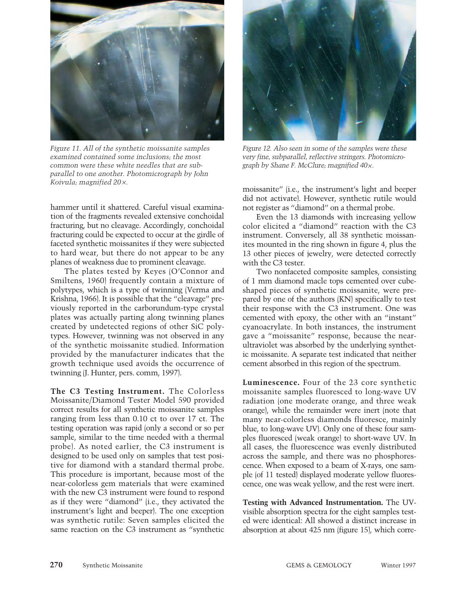

*Figure 11. All of the synthetic moissanite samples examined contained some inclusions; the most common were these white needles that are subparallel to one another. Photomicrograph by John Koivula; magnified 20*¥*.*

hammer until it shattered. Careful visual examination of the fragments revealed extensive conchoidal fracturing, but no cleavage. Accordingly, conchoidal fracturing could be expected to occur at the girdle of faceted synthetic moissanites if they were subjected to hard wear, but there do not appear to be any planes of weakness due to prominent cleavage.

The plates tested by Keyes (O'Connor and Smiltens, 1960) frequently contain a mixture of polytypes, which is a type of twinning (Verma and Krishna, 1966). It is possible that the "cleavage" previously reported in the carborundum-type crystal plates was actually parting along twinning planes created by undetected regions of other SiC polytypes. However, twinning was not observed in any of the synthetic moissanite studied. Information provided by the manufacturer indicates that the growth technique used avoids the occurrence of twinning (J. Hunter, pers. comm, 1997).

**The C3 Testing Instrument.** The Colorless Moissanite/Diamond Tester Model 590 provided correct results for all synthetic moissanite samples ranging from less than 0.10 ct to over 17 ct. The testing operation was rapid (only a second or so per sample, similar to the time needed with a thermal probe). As noted earlier, the C3 instrument is designed to be used only on samples that test positive for diamond with a standard thermal probe. This procedure is important, because most of the near-colorless gem materials that were examined with the new C3 instrument were found to respond as if they were "diamond" (i.e., they activated the instrument's light and beeper). The one exception was synthetic rutile: Seven samples elicited the same reaction on the C3 instrument as "synthetic



*Figure 12. Also seen in some of the samples were these very fine, subparallel, reflective stringers. Photomicrograph by Shane F. McClure; magnified 40*¥*.* 

moissanite" (i.e., the instrument's light and beeper did not activate). However, synthetic rutile would not register as "diamond" on a thermal probe.

Even the 13 diamonds with increasing yellow color elicited a "diamond" reaction with the C3 instrument. Conversely, all 38 synthetic moissanites mounted in the ring shown in figure 4, plus the 13 other pieces of jewelry, were detected correctly with the C3 tester.

Two nonfaceted composite samples, consisting of 1 mm diamond macle tops cemented over cubeshaped pieces of synthetic moissanite, were prepared by one of the authors (KN) specifically to test their response with the C3 instrument. One was cemented with epoxy, the other with an "instant" cyanoacrylate. In both instances, the instrument gave a "moissanite" response, because the nearultraviolet was absorbed by the underlying synthetic moissanite. A separate test indicated that neither cement absorbed in this region of the spectrum.

**Luminescence.** Four of the 23 core synthetic moissanite samples fluoresced to long-wave UV radiation (one moderate orange, and three weak orange), while the remainder were inert (note that many near-colorless diamonds fluoresce, mainly blue, to long-wave UV). Only one of these four samples fluoresced (weak orange) to short-wave UV. In all cases, the fluorescence was evenly distributed across the sample, and there was no phosphorescence. When exposed to a beam of X-rays, one sample (of 11 tested) displayed moderate yellow fluorescence, one was weak yellow, and the rest were inert.

**Testing with Advanced Instrumentation.** The UVvisible absorption spectra for the eight samples tested were identical: All showed a distinct increase in absorption at about 425 nm (figure 15), which corre-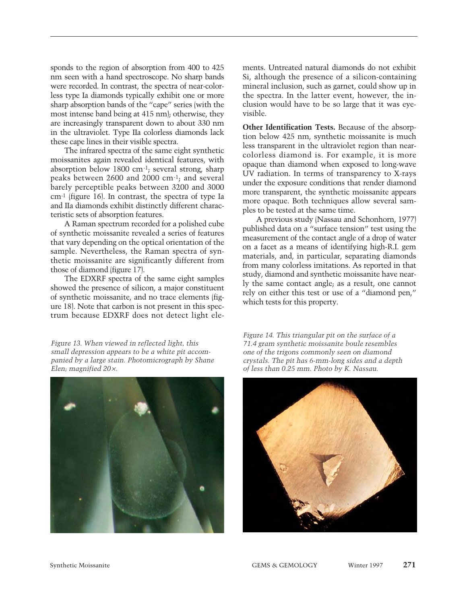sponds to the region of absorption from 400 to 425 nm seen with a hand spectroscope. No sharp bands were recorded. In contrast, the spectra of near-colorless type Ia diamonds typically exhibit one or more sharp absorption bands of the "cape" series (with the most intense band being at 415 nm); otherwise, they are increasingly transparent down to about 330 nm in the ultraviolet. Type IIa colorless diamonds lack these cape lines in their visible spectra.

The infrared spectra of the same eight synthetic moissanites again revealed identical features, with absorption below 1800 cm-1; several strong, sharp peaks between 2600 and 2000 cm-1; and several barely perceptible peaks between 3200 and 3000 cm-1 (figure 16). In contrast, the spectra of type Ia and IIa diamonds exhibit distinctly different characteristic sets of absorption features.

A Raman spectrum recorded for a polished cube of synthetic moissanite revealed a series of features that vary depending on the optical orientation of the sample. Nevertheless, the Raman spectra of synthetic moissanite are significantly different from those of diamond (figure 17).

The EDXRF spectra of the same eight samples showed the presence of silicon, a major constituent of synthetic moissanite, and no trace elements (figure 18). Note that carbon is not present in this spectrum because EDXRF does not detect light ele-

*Figure 13. When viewed in reflected light, this small depression appears to be a white pit accompanied by a large stain. Photomicrograph by Shane Elen; magnified 20*¥*.*



ments. Untreated natural diamonds do not exhibit Si, although the presence of a silicon-containing mineral inclusion, such as garnet, could show up in the spectra. In the latter event, however, the inclusion would have to be so large that it was eyevisible.

**Other Identification Tests.** Because of the absorption below 425 nm, synthetic moissanite is much less transparent in the ultraviolet region than nearcolorless diamond is. For example, it is more opaque than diamond when exposed to long-wave UV radiation. In terms of transparency to X-rays under the exposure conditions that render diamond more transparent, the synthetic moissanite appears more opaque. Both techniques allow several samples to be tested at the same time.

A previous study (Nassau and Schonhorn, 1977) published data on a "surface tension" test using the measurement of the contact angle of a drop of water on a facet as a means of identifying high-R.I. gem materials, and, in particular, separating diamonds from many colorless imitations. As reported in that study, diamond and synthetic moissanite have nearly the same contact angle; as a result, one cannot rely on either this test or use of a "diamond pen," which tests for this property.

*Figure 14. This triangular pit on the surface of a 71.4 gram synthetic moissanite boule resembles one of the trigons commonly seen on diamond crystals. The pit has 6-mm-long sides and a depth of less than 0.25 mm. Photo by K. Nassau.* 

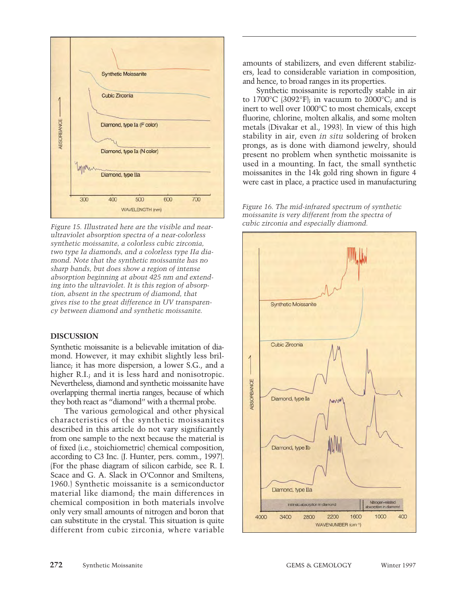

*Figure 15. Illustrated here are the visible and nearultraviolet absorption spectra of a near-colorless synthetic moissanite, a colorless cubic zirconia, two type Ia diamonds, and a colorless type IIa diamond. Note that the synthetic moissanite has no sharp bands, but does show a region of intense absorption beginning at about 425 nm and extending into the ultraviolet. It is this region of absorption, absent in the spectrum of diamond, that gives rise to the great difference in UV transparency between diamond and synthetic moissanite.*

#### **DISCUSSION**

Synthetic moissanite is a believable imitation of diamond. However, it may exhibit slightly less brilliance; it has more dispersion, a lower S.G., and a higher R.I.; and it is less hard and nonisotropic. Nevertheless, diamond and synthetic moissanite have overlapping thermal inertia ranges, because of which they both react as "diamond" with a thermal probe.

The various gemological and other physical characteristics of the synthetic moissanites described in this article do not vary significantly from one sample to the next because the material is of fixed (i.e., stoichiometric) chemical composition, according to C3 Inc. (J. Hunter, pers. comm., 1997). (For the phase diagram of silicon carbide, see R. I. Scace and G. A. Slack in O'Connor and Smiltens, 1960.) Synthetic moissanite is a semiconductor material like diamond; the main differences in chemical composition in both materials involve only very small amounts of nitrogen and boron that can substitute in the crystal. This situation is quite different from cubic zirconia, where variable

amounts of stabilizers, and even different stabilizers, lead to considerable variation in composition, and hence, to broad ranges in its properties.

Synthetic moissanite is reportedly stable in air to  $1700^{\circ}$ C (3092°F); in vacuum to  $2000^{\circ}$ C; and is inert to well over 1000°C to most chemicals, except fluorine, chlorine, molten alkalis, and some molten metals (Divakar et al., 1993). In view of this high stability in air, even *in situ* soldering of broken prongs, as is done with diamond jewelry, should present no problem when synthetic moissanite is used in a mounting. In fact, the small synthetic moissanites in the 14k gold ring shown in figure 4 were cast in place, a practice used in manufacturing

*Figure 16. The mid-infrared spectrum of synthetic moissanite is very different from the spectra of cubic zirconia and especially diamond.*

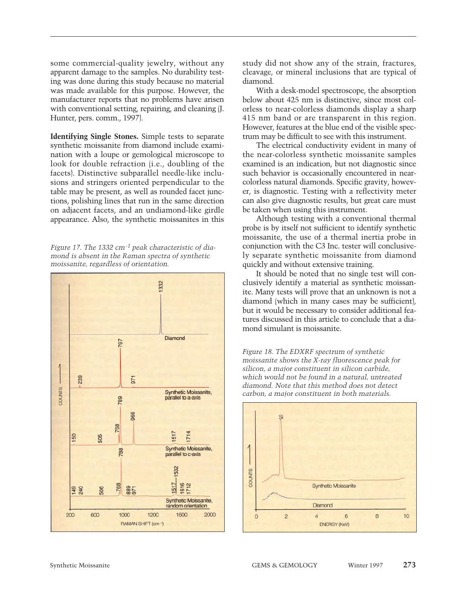some commercial-quality jewelry, without any apparent damage to the samples. No durability testing was done during this study because no material was made available for this purpose. However, the manufacturer reports that no problems have arisen with conventional setting, repairing, and cleaning (J. Hunter, pers. comm., 1997).

**Identifying Single Stones.** Simple tests to separate synthetic moissanite from diamond include examination with a loupe or gemological microscope to look for double refraction (i.e., doubling of the facets). Distinctive subparallel needle-like inclusions and stringers oriented perpendicular to the table may be present, as well as rounded facet junctions, polishing lines that run in the same direction on adjacent facets, and an undiamond-like girdle appearance. Also, the synthetic moissanites in this

*Figure 17. The 1332 cm-1 peak characteristic of diamond is absent in the Raman spectra of synthetic moissanite, regardless of orientation.*



study did not show any of the strain, fractures, cleavage, or mineral inclusions that are typical of diamond.

With a desk-model spectroscope, the absorption below about 425 nm is distinctive, since most colorless to near-colorless diamonds display a sharp 415 nm band or are transparent in this region. However, features at the blue end of the visible spectrum may be difficult to see with this instrument.

The electrical conductivity evident in many of the near-colorless synthetic moissanite samples examined is an indication, but not diagnostic since such behavior is occasionally encountered in nearcolorless natural diamonds. Specific gravity, however, is diagnostic. Testing with a reflectivity meter can also give diagnostic results, but great care must be taken when using this instrument.

Although testing with a conventional thermal probe is by itself not sufficient to identify synthetic moissanite, the use of a thermal inertia probe in conjunction with the C3 Inc. tester will conclusively separate synthetic moissanite from diamond quickly and without extensive training.

It should be noted that no single test will conclusively identify a material as synthetic moissanite. Many tests will prove that an unknown is not a diamond (which in many cases may be sufficient), but it would be necessary to consider additional features discussed in this article to conclude that a diamond simulant is moissanite.



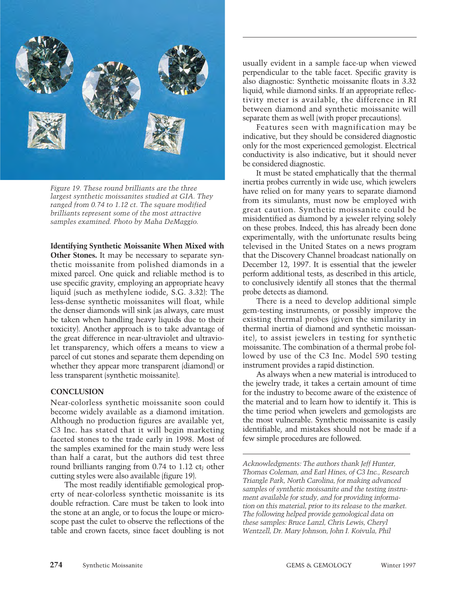

*Figure 19. These round brilliants are the three largest synthetic moissanites studied at GIA. They ranged from 0.74 to 1.12 ct. The square modified brilliants represent some of the most attractive samples examined. Photo by Maha DeMaggio.* 

# **Identifying Synthetic Moissanite When Mixed with**

**Other Stones.** It may be necessary to separate synthetic moissanite from polished diamonds in a mixed parcel. One quick and reliable method is to use specific gravity, employing an appropriate heavy liquid (such as methylene iodide, S.G. 3.32): The less-dense synthetic moissanites will float, while the denser diamonds will sink (as always, care must be taken when handling heavy liquids due to their toxicity). Another approach is to take advantage of the great difference in near-ultraviolet and ultraviolet transparency, which offers a means to view a parcel of cut stones and separate them depending on whether they appear more transparent (diamond) or less transparent (synthetic moissanite).

### **CONCLUSION**

Near-colorless synthetic moissanite soon could become widely available as a diamond imitation. Although no production figures are available yet, C3 Inc. has stated that it will begin marketing faceted stones to the trade early in 1998. Most of the samples examined for the main study were less than half a carat, but the authors did test three round brilliants ranging from 0.74 to 1.12 ct; other cutting styles were also available (figure 19).

The most readily identifiable gemological property of near-colorless synthetic moissanite is its double refraction. Care must be taken to look into the stone at an angle, or to focus the loupe or microscope past the culet to observe the reflections of the table and crown facets, since facet doubling is not usually evident in a sample face-up when viewed perpendicular to the table facet. Specific gravity is also diagnostic: Synthetic moissanite floats in 3.32 liquid, while diamond sinks. If an appropriate reflectivity meter is available, the difference in RI between diamond and synthetic moissanite will separate them as well (with proper precautions).

Features seen with magnification may be indicative, but they should be considered diagnostic only for the most experienced gemologist. Electrical conductivity is also indicative, but it should never be considered diagnostic.

It must be stated emphatically that the thermal inertia probes currently in wide use, which jewelers have relied on for many years to separate diamond from its simulants, must now be employed with great caution. Synthetic moissanite could be misidentified as diamond by a jeweler relying solely on these probes. Indeed, this has already been done experimentally, with the unfortunate results being televised in the United States on a news program that the Discovery Channel broadcast nationally on December 12, 1997. It is essential that the jeweler perform additional tests, as described in this article, to conclusively identify all stones that the thermal probe detects as diamond.

There is a need to develop additional simple gem-testing instruments, or possibly improve the existing thermal probes (given the similarity in thermal inertia of diamond and synthetic moissanite), to assist jewelers in testing for synthetic moissanite. The combination of a thermal probe followed by use of the C3 Inc. Model 590 testing instrument provides a rapid distinction.

As always when a new material is introduced to the jewelry trade, it takes a certain amount of time for the industry to become aware of the existence of the material and to learn how to identify it. This is the time period when jewelers and gemologists are the most vulnerable. Synthetic moissanite is easily identifiable, and mistakes should not be made if a few simple procedures are followed.

*Acknowledgments: The authors thank Jeff Hunter, Thomas Coleman, and Earl Hines, of C3 Inc., Research Triangle Park, North Carolina, for making advanced samples of synthetic moissanite and the testing instrument available for study, and for providing information on this material, prior to its release to the market. The following helped provide gemological data on these samples: Bruce Lanzl, Chris Lewis, Cheryl Wentzell, Dr. Mary Johnson, John I. Koivula, Phil*